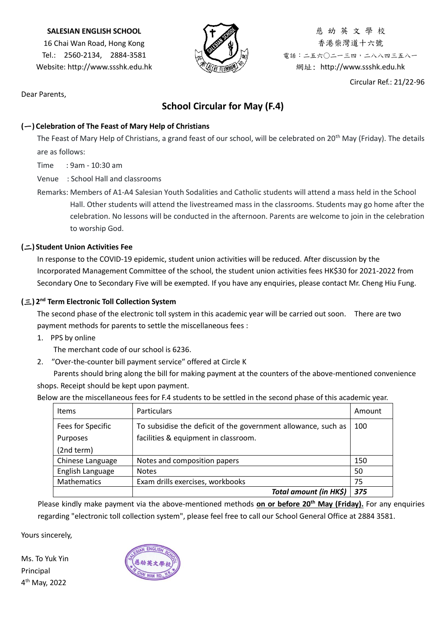#### **SALESIAN ENGLISH SCHOOL**

16 Chai Wan Road, Hong Kong Tel.: 2560-2134, 2884-3581 Website: http://www.ssshk.edu.hk



慈 幼 英 文 學 校 香港柴灣道十六號 電話:二五六○二一三四,二八八四三五八一 網址: http://www.ssshk.edu.hk

Circular Ref.: 21/22-96

Dear Parents,

## **School Circular for May (F.4)**

### **(**一**) Celebration of The Feast of Mary Help of Christians**

The Feast of Mary Help of Christians, a grand feast of our school, will be celebrated on 20<sup>th</sup> May (Friday). The details are as follows:

Time : 9am - 10:30 am

Venue : School Hall and classrooms

Remarks: Members of A1-A4 Salesian Youth Sodalities and Catholic students will attend a mass held in the School Hall. Other students will attend the livestreamed mass in the classrooms. Students may go home after the celebration. No lessons will be conducted in the afternoon. Parents are welcome to join in the celebration to worship God.

#### **(**二**) Student Union Activities Fee**

In response to the COVID-19 epidemic, student union activities will be reduced. After discussion by the Incorporated Management Committee of the school, the student union activities fees HK\$30 for 2021-2022 from Secondary One to Secondary Five will be exempted. If you have any enquiries, please contact Mr. Cheng Hiu Fung.

#### **(**三**) 2 nd Term Electronic Toll Collection System**

The second phase of the electronic toll system in this academic year will be carried out soon. There are two payment methods for parents to settle the miscellaneous fees :

1. PPS by online

The merchant code of our school is 6236.

2. ″Over-the-counter bill payment service″ offered at Circle K

Parents should bring along the bill for making payment at the counters of the above-mentioned convenience shops. Receipt should be kept upon payment.

Below are the miscellaneous fees for F.4 students to be settled in the second phase of this academic year.

| Items              | <b>Particulars</b>                                            | Amount |
|--------------------|---------------------------------------------------------------|--------|
| Fees for Specific  | To subsidise the deficit of the government allowance, such as | 100    |
| Purposes           | facilities & equipment in classroom.                          |        |
| (2nd term)         |                                                               |        |
| Chinese Language   | Notes and composition papers                                  | 150    |
| English Language   | <b>Notes</b>                                                  | 50     |
| <b>Mathematics</b> | Exam drills exercises, workbooks                              | 75     |
|                    | Total amount (in HK\$)                                        | 375    |

Please kindly make payment via the above-mentioned methods **on or before 20th May (Friday).** For any enquiries regarding "electronic toll collection system", please feel free to call our School General Office at 2884 3581.

Yours sincerely,

Ms. To Yuk Yin Principal 4 th May, 2022